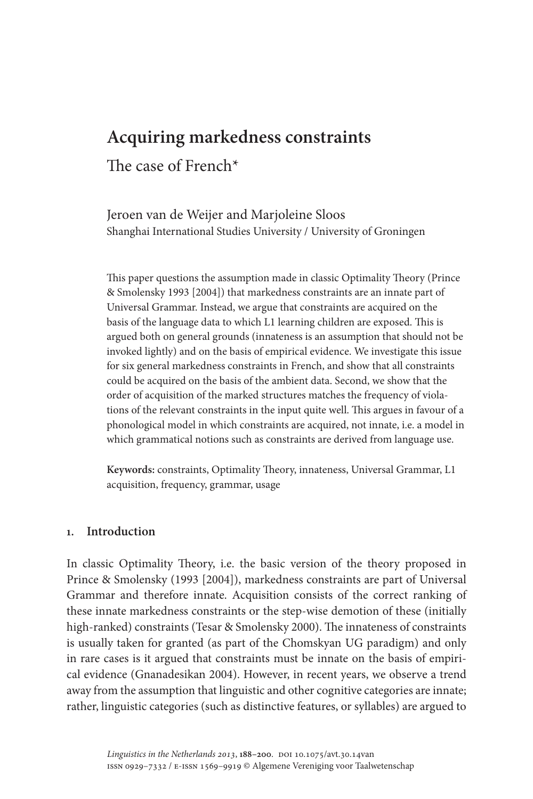# **Acquiring markedness constraints**

The case of French\*

Jeroen van de Weijer and Marjoleine Sloos Shanghai International Studies University / University of Groningen

This paper questions the assumption made in classic Optimality Theory (Prince & Smolensky 1993 [2004]) that markedness constraints are an innate part of Universal Grammar. Instead, we argue that constraints are acquired on the basis of the language data to which L1 learning children are exposed. This is argued both on general grounds (innateness is an assumption that should not be invoked lightly) and on the basis of empirical evidence. We investigate this issue for six general markedness constraints in French, and show that all constraints could be acquired on the basis of the ambient data. Second, we show that the order of acquisition of the marked structures matches the frequency of violations of the relevant constraints in the input quite well. This argues in favour of a phonological model in which constraints are acquired, not innate, i.e. a model in which grammatical notions such as constraints are derived from language use.

**Keywords:** constraints, Optimality Theory, innateness, Universal Grammar, L1 acquisition, frequency, grammar, usage

#### **1. Introduction**

In classic Optimality Theory, i.e. the basic version of the theory proposed in Prince & Smolensky (1993 [2004]), markedness constraints are part of Universal Grammar and therefore innate. Acquisition consists of the correct ranking of these innate markedness constraints or the step-wise demotion of these (initially high-ranked) constraints (Tesar & Smolensky 2000). The innateness of constraints is usually taken for granted (as part of the Chomskyan UG paradigm) and only in rare cases is it argued that constraints must be innate on the basis of empirical evidence (Gnanadesikan 2004). However, in recent years, we observe a trend away from the assumption that linguistic and other cognitive categories are innate; rather, linguistic categories (such as distinctive features, or syllables) are argued to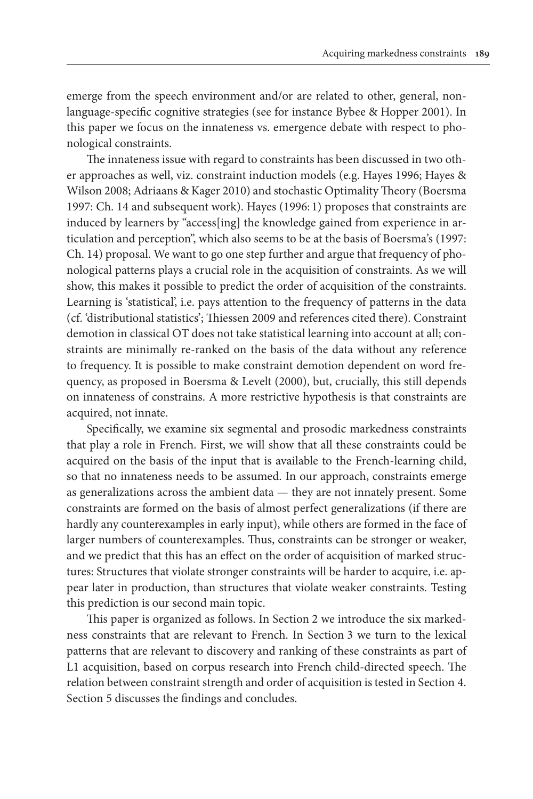emerge from the speech environment and/or are related to other, general, nonlanguage-specific cognitive strategies (see for instance Bybee & Hopper 2001). In this paper we focus on the innateness vs. emergence debate with respect to phonological constraints.

The innateness issue with regard to constraints has been discussed in two other approaches as well, viz. constraint induction models (e.g. Hayes 1996; Hayes & Wilson 2008; Adriaans & Kager 2010) and stochastic Optimality Theory (Boersma 1997: Ch. 14 and subsequent work). Hayes (1996: 1) proposes that constraints are induced by learners by "access[ing] the knowledge gained from experience in articulation and perception", which also seems to be at the basis of Boersma's (1997: Ch. 14) proposal. We want to go one step further and argue that frequency of phonological patterns plays a crucial role in the acquisition of constraints. As we will show, this makes it possible to predict the order of acquisition of the constraints. Learning is 'statistical', i.e. pays attention to the frequency of patterns in the data (cf. 'distributional statistics'; Thiessen 2009 and references cited there). Constraint demotion in classical OT does not take statistical learning into account at all; constraints are minimally re-ranked on the basis of the data without any reference to frequency. It is possible to make constraint demotion dependent on word frequency, as proposed in Boersma & Levelt (2000), but, crucially, this still depends on innateness of constrains. A more restrictive hypothesis is that constraints are acquired, not innate.

Specifically, we examine six segmental and prosodic markedness constraints that play a role in French. First, we will show that all these constraints could be acquired on the basis of the input that is available to the French-learning child, so that no innateness needs to be assumed. In our approach, constraints emerge as generalizations across the ambient data — they are not innately present. Some constraints are formed on the basis of almost perfect generalizations (if there are hardly any counterexamples in early input), while others are formed in the face of larger numbers of counterexamples. Thus, constraints can be stronger or weaker, and we predict that this has an effect on the order of acquisition of marked structures: Structures that violate stronger constraints will be harder to acquire, i.e. appear later in production, than structures that violate weaker constraints. Testing this prediction is our second main topic.

This paper is organized as follows. In Section 2 we introduce the six markedness constraints that are relevant to French. In Section 3 we turn to the lexical patterns that are relevant to discovery and ranking of these constraints as part of L1 acquisition, based on corpus research into French child-directed speech. The relation between constraint strength and order of acquisition is tested in Section 4. Section 5 discusses the findings and concludes.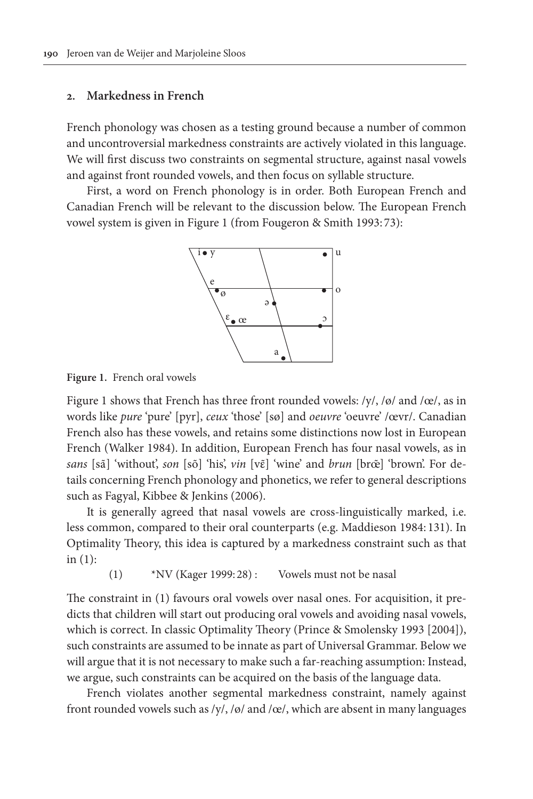## **2. Markedness in French**

French phonology was chosen as a testing ground because a number of common and uncontroversial markedness constraints are actively violated in this language. We will first discuss two constraints on segmental structure, against nasal vowels and against front rounded vowels, and then focus on syllable structure.

First, a word on French phonology is in order. Both European French and Canadian French will be relevant to the discussion below. The European French vowel system is given in Figure 1 (from Fougeron & Smith 1993: 73):



**Figure 1.** French oral vowels

Figure 1 shows that French has three front rounded vowels: /y/, /ø/ and /œ/, as in words like *pure* 'pure' [pyr], *ceux* 'those' [sø] and *oeuvre* 'oeuvre' /œvr/. Canadian French also has these vowels, and retains some distinctions now lost in European French (Walker 1984). In addition, European French has four nasal vowels, as in *sans* [sã] 'without', *son* [sõ] 'his', *vin* [vɛ̃] 'wine' and *brun* [brœ̃] 'brown'. For details concerning French phonology and phonetics, we refer to general descriptions such as Fagyal, Kibbee & Jenkins (2006).

It is generally agreed that nasal vowels are cross-linguistically marked, i.e. less common, compared to their oral counterparts (e.g. Maddieson 1984: 131). In Optimality Theory, this idea is captured by a markedness constraint such as that in (1):

```
(1) *NV (Kager 1999: 28) : Vowels must not be nasal
```
The constraint in (1) favours oral vowels over nasal ones. For acquisition, it predicts that children will start out producing oral vowels and avoiding nasal vowels, which is correct. In classic Optimality Theory (Prince & Smolensky 1993 [2004]), such constraints are assumed to be innate as part of Universal Grammar. Below we will argue that it is not necessary to make such a far-reaching assumption: Instead, we argue, such constraints can be acquired on the basis of the language data.

French violates another segmental markedness constraint, namely against front rounded vowels such as /y/, /ø/ and /œ/, which are absent in many languages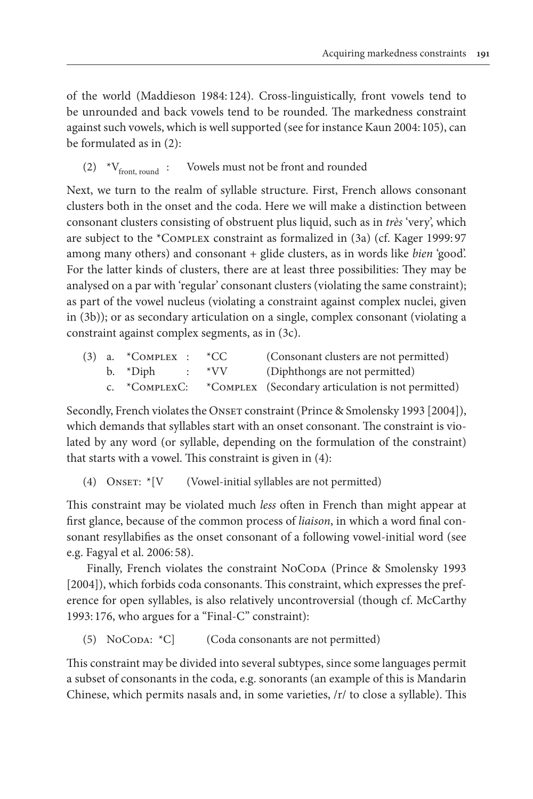of the world (Maddieson 1984: 124). Cross-linguistically, front vowels tend to be unrounded and back vowels tend to be rounded. The markedness constraint against such vowels, which is well supported (see for instance Kaun 2004: 105), can be formulated as in (2):

(2)  $*V_{front, round}$  : Vowels must not be front and rounded

Next, we turn to the realm of syllable structure. First, French allows consonant clusters both in the onset and the coda. Here we will make a distinction between consonant clusters consisting of obstruent plus liquid, such as in *très* 'very', which are subject to the \*COMPLEX constraint as formalized in (3a) (cf. Kager 1999: 97 among many others) and consonant + glide clusters, as in words like *bien* 'good'. For the latter kinds of clusters, there are at least three possibilities: They may be analysed on a par with 'regular' consonant clusters (violating the same constraint); as part of the vowel nucleus (violating a constraint against complex nuclei, given in (3b)); or as secondary articulation on a single, complex consonant (violating a constraint against complex segments, as in (3c).

|  | (3) a. $*$ COMPLEX : $*$ CC  | (Consonant clusters are not permitted)                           |
|--|------------------------------|------------------------------------------------------------------|
|  | b. $\star$ Diph : $\star$ VV | (Diphthongs are not permitted)                                   |
|  |                              | c. *COMPLEXC: *COMPLEX (Secondary articulation is not permitted) |

Secondly, French violates the Onser constraint (Prince & Smolensky 1993 [2004]), which demands that syllables start with an onset consonant. The constraint is violated by any word (or syllable, depending on the formulation of the constraint) that starts with a vowel. This constraint is given in (4):

(4) ONSET:  $*$ [V (Vowel-initial syllables are not permitted)

This constraint may be violated much *less* often in French than might appear at first glance, because of the common process of *liaison*, in which a word final consonant resyllabifies as the onset consonant of a following vowel-initial word (see e.g. Fagyal et al. 2006: 58).

Finally, French violates the constraint NoCoDA (Prince & Smolensky 1993 [2004]), which forbids coda consonants. This constraint, which expresses the preference for open syllables, is also relatively uncontroversial (though cf. McCarthy 1993: 176, who argues for a "Final-C" constraint):

```
(5) NoCoda: *C (Coda consonants are not permitted)
```
This constraint may be divided into several subtypes, since some languages permit a subset of consonants in the coda, e.g. sonorants (an example of this is Mandarin Chinese, which permits nasals and, in some varieties, /r/ to close a syllable). This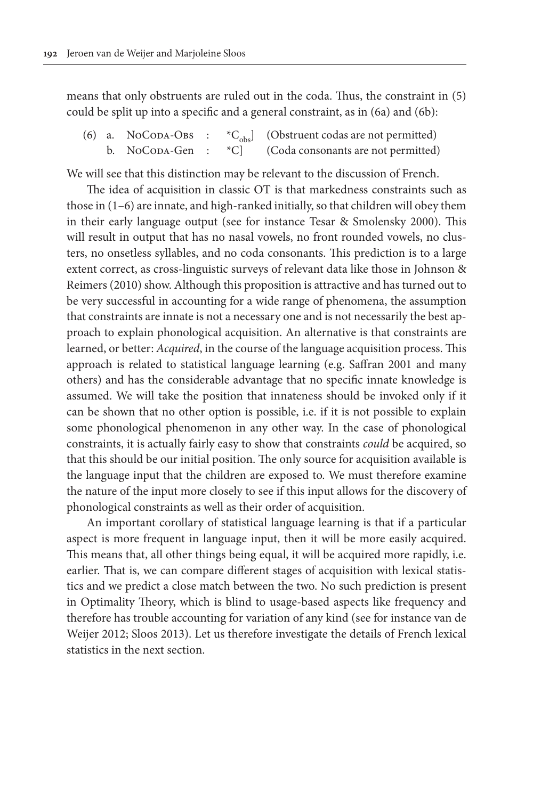means that only obstruents are ruled out in the coda. Thus, the constraint in (5) could be split up into a specific and a general constraint, as in (6a) and (6b):

(6) a. NoCoda-Obs :  ${^*C_{obs}}$  (Obstruent codas are not permitted)<br>b. NoCoda-Gen :  ${^*C}$  (Coda consonants are not permitted) b. NoCoDA-Gen :  $*C$  (Coda consonants are not permitted)

We will see that this distinction may be relevant to the discussion of French.

The idea of acquisition in classic OT is that markedness constraints such as those in (1–6) are innate, and high-ranked initially, so that children will obey them in their early language output (see for instance Tesar & Smolensky 2000). This will result in output that has no nasal vowels, no front rounded vowels, no clusters, no onsetless syllables, and no coda consonants. This prediction is to a large extent correct, as cross-linguistic surveys of relevant data like those in Johnson & Reimers (2010) show. Although this proposition is attractive and has turned out to be very successful in accounting for a wide range of phenomena, the assumption that constraints are innate is not a necessary one and is not necessarily the best approach to explain phonological acquisition. An alternative is that constraints are learned, or better: *Acquired*, in the course of the language acquisition process. This approach is related to statistical language learning (e.g. Saffran 2001 and many others) and has the considerable advantage that no specific innate knowledge is assumed. We will take the position that innateness should be invoked only if it can be shown that no other option is possible, i.e. if it is not possible to explain some phonological phenomenon in any other way. In the case of phonological constraints, it is actually fairly easy to show that constraints *could* be acquired, so that this should be our initial position. The only source for acquisition available is the language input that the children are exposed to. We must therefore examine the nature of the input more closely to see if this input allows for the discovery of phonological constraints as well as their order of acquisition.

An important corollary of statistical language learning is that if a particular aspect is more frequent in language input, then it will be more easily acquired. This means that, all other things being equal, it will be acquired more rapidly, i.e. earlier. That is, we can compare different stages of acquisition with lexical statistics and we predict a close match between the two. No such prediction is present in Optimality Theory, which is blind to usage-based aspects like frequency and therefore has trouble accounting for variation of any kind (see for instance van de Weijer 2012; Sloos 2013). Let us therefore investigate the details of French lexical statistics in the next section.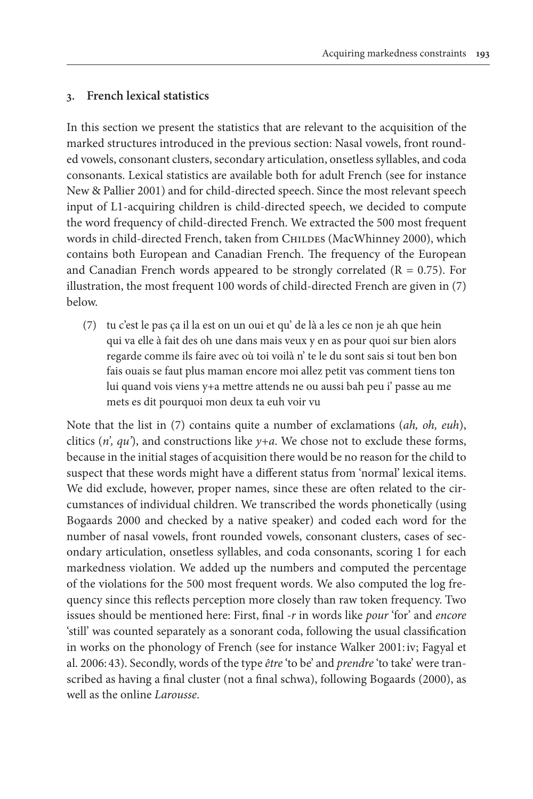#### **3. French lexical statistics**

In this section we present the statistics that are relevant to the acquisition of the marked structures introduced in the previous section: Nasal vowels, front rounded vowels, consonant clusters, secondary articulation, onsetless syllables, and coda consonants. Lexical statistics are available both for adult French (see for instance New & Pallier 2001) and for child-directed speech. Since the most relevant speech input of L1-acquiring children is child-directed speech, we decided to compute the word frequency of child-directed French. We extracted the 500 most frequent words in child-directed French, taken from CHILDES (MacWhinney 2000), which contains both European and Canadian French. The frequency of the European and Canadian French words appeared to be strongly correlated  $(R = 0.75)$ . For illustration, the most frequent 100 words of child-directed French are given in (7) below.

(7) tu c'est le pas ça il la est on un oui et qu' de là a les ce non je ah que hein qui va elle à fait des oh une dans mais veux y en as pour quoi sur bien alors regarde comme ils faire avec où toi voilà n' te le du sont sais si tout ben bon fais ouais se faut plus maman encore moi allez petit vas comment tiens ton lui quand vois viens y+a mettre attends ne ou aussi bah peu i' passe au me mets es dit pourquoi mon deux ta euh voir vu

Note that the list in (7) contains quite a number of exclamations (*ah, oh, euh*), clitics (*n', qu'*), and constructions like *y+a*. We chose not to exclude these forms, because in the initial stages of acquisition there would be no reason for the child to suspect that these words might have a different status from 'normal' lexical items. We did exclude, however, proper names, since these are often related to the circumstances of individual children. We transcribed the words phonetically (using Bogaards 2000 and checked by a native speaker) and coded each word for the number of nasal vowels, front rounded vowels, consonant clusters, cases of secondary articulation, onsetless syllables, and coda consonants, scoring 1 for each markedness violation. We added up the numbers and computed the percentage of the violations for the 500 most frequent words. We also computed the log frequency since this reflects perception more closely than raw token frequency. Two issues should be mentioned here: First, final *-r* in words like *pour* 'for' and *encore* 'still' was counted separately as a sonorant coda, following the usual classification in works on the phonology of French (see for instance Walker 2001:iv; Fagyal et al. 2006: 43). Secondly, words of the type *être* 'to be' and *prendre* 'to take' were transcribed as having a final cluster (not a final schwa), following Bogaards (2000), as well as the online *Larousse*.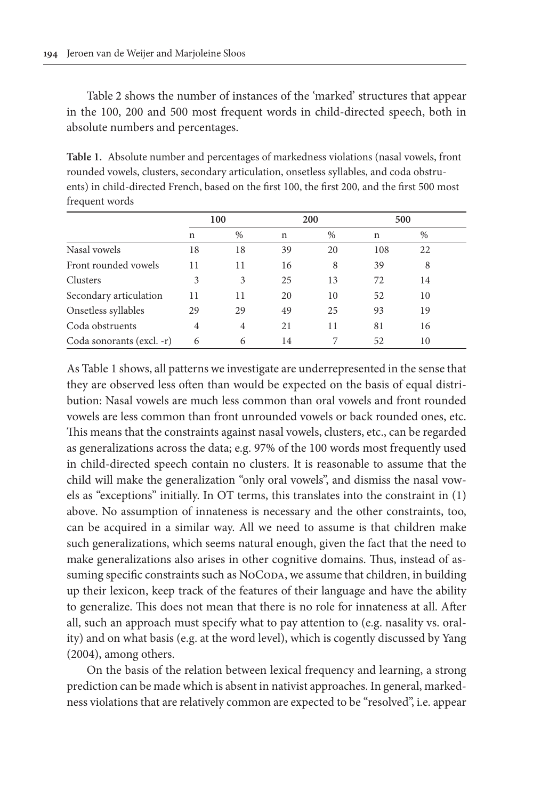Table 2 shows the number of instances of the 'marked' structures that appear in the 100, 200 and 500 most frequent words in child-directed speech, both in absolute numbers and percentages.

**Table 1.** Absolute number and percentages of markedness violations (nasal vowels, front rounded vowels, clusters, secondary articulation, onsetless syllables, and coda obstruents) in child-directed French, based on the first 100, the first 200, and the first 500 most frequent words

|                           | 100 |                | 200 |    | 500 |      |  |
|---------------------------|-----|----------------|-----|----|-----|------|--|
|                           | n   | %              | n   | %  | n   | $\%$ |  |
| Nasal vowels              | 18  | 18             | 39  | 20 | 108 | 22   |  |
| Front rounded vowels      | 11  | 11             | 16  | 8  | 39  | 8    |  |
| Clusters                  | 3   | 3              | 25  | 13 | 72  | 14   |  |
| Secondary articulation    | 11  | 11             | 20  | 10 | 52  | 10   |  |
| Onsetless syllables       | 29  | 29             | 49  | 25 | 93  | 19   |  |
| Coda obstruents           | 4   | $\overline{4}$ | 21  | 11 | 81  | 16   |  |
| Coda sonorants (excl. -r) | 6   | 6              | 14  |    | 52  | 10   |  |

As Table 1 shows, all patterns we investigate are underrepresented in the sense that they are observed less often than would be expected on the basis of equal distribution: Nasal vowels are much less common than oral vowels and front rounded vowels are less common than front unrounded vowels or back rounded ones, etc. This means that the constraints against nasal vowels, clusters, etc., can be regarded as generalizations across the data; e.g. 97% of the 100 words most frequently used in child-directed speech contain no clusters. It is reasonable to assume that the child will make the generalization "only oral vowels", and dismiss the nasal vowels as "exceptions" initially. In OT terms, this translates into the constraint in (1) above. No assumption of innateness is necessary and the other constraints, too, can be acquired in a similar way. All we need to assume is that children make such generalizations, which seems natural enough, given the fact that the need to make generalizations also arises in other cognitive domains. Thus, instead of assuming specific constraints such as NoCoDA, we assume that children, in building up their lexicon, keep track of the features of their language and have the ability to generalize. This does not mean that there is no role for innateness at all. After all, such an approach must specify what to pay attention to (e.g. nasality vs. orality) and on what basis (e.g. at the word level), which is cogently discussed by Yang (2004), among others.

On the basis of the relation between lexical frequency and learning, a strong prediction can be made which is absent in nativist approaches. In general, markedness violations that are relatively common are expected to be "resolved", i.e. appear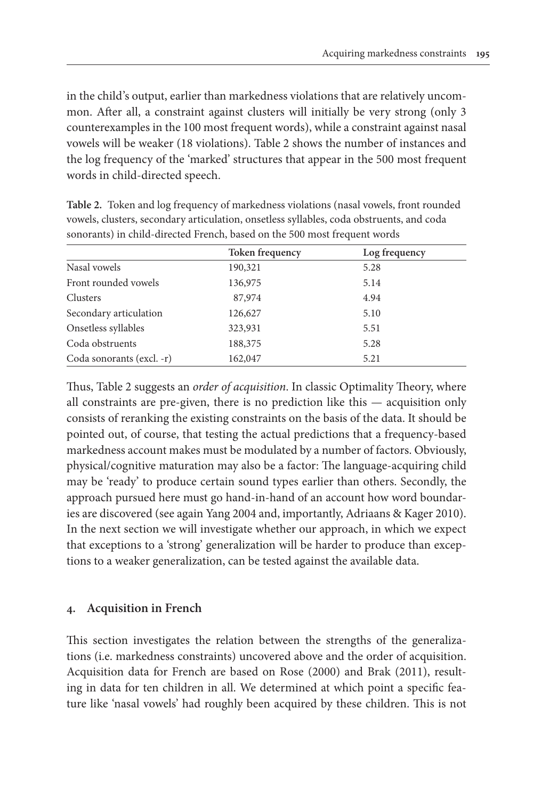in the child's output, earlier than markedness violations that are relatively uncommon. After all, a constraint against clusters will initially be very strong (only 3 counterexamples in the 100 most frequent words), while a constraint against nasal vowels will be weaker (18 violations). Table 2 shows the number of instances and the log frequency of the 'marked' structures that appear in the 500 most frequent words in child-directed speech.

|                           | Token frequency | Log frequency |  |
|---------------------------|-----------------|---------------|--|
| Nasal vowels              | 190,321         | 5.28          |  |
| Front rounded vowels      | 136,975         | 5.14          |  |
| Clusters                  | 87,974          | 4.94          |  |
| Secondary articulation    | 126,627         | 5.10          |  |
| Onsetless syllables       | 323,931         | 5.51          |  |
| Coda obstruents           | 188,375         | 5.28          |  |
| Coda sonorants (excl. -r) | 162,047         | 5.21          |  |

**Table 2.** Token and log frequency of markedness violations (nasal vowels, front rounded vowels, clusters, secondary articulation, onsetless syllables, coda obstruents, and coda sonorants) in child-directed French, based on the 500 most frequent words

Thus, Table 2 suggests an *order of acquisition*. In classic Optimality Theory, where all constraints are pre-given, there is no prediction like this — acquisition only consists of reranking the existing constraints on the basis of the data. It should be pointed out, of course, that testing the actual predictions that a frequency-based markedness account makes must be modulated by a number of factors. Obviously, physical/cognitive maturation may also be a factor: The language-acquiring child may be 'ready' to produce certain sound types earlier than others. Secondly, the approach pursued here must go hand-in-hand of an account how word boundaries are discovered (see again Yang 2004 and, importantly, Adriaans & Kager 2010). In the next section we will investigate whether our approach, in which we expect that exceptions to a 'strong' generalization will be harder to produce than exceptions to a weaker generalization, can be tested against the available data.

## **4. Acquisition in French**

This section investigates the relation between the strengths of the generalizations (i.e. markedness constraints) uncovered above and the order of acquisition. Acquisition data for French are based on Rose (2000) and Brak (2011), resulting in data for ten children in all. We determined at which point a specific feature like 'nasal vowels' had roughly been acquired by these children. This is not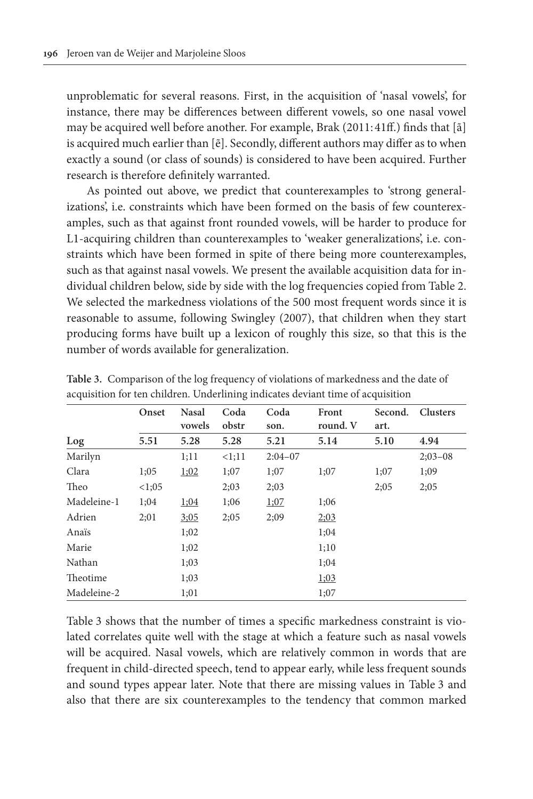unproblematic for several reasons. First, in the acquisition of 'nasal vowels', for instance, there may be differences between different vowels, so one nasal vowel may be acquired well before another. For example, Brak (2011: 41ff.) finds that [ã] is acquired much earlier than [ẽ]. Secondly, different authors may differ as to when exactly a sound (or class of sounds) is considered to have been acquired. Further research is therefore definitely warranted.

As pointed out above, we predict that counterexamples to 'strong generalizations', i.e. constraints which have been formed on the basis of few counterexamples, such as that against front rounded vowels, will be harder to produce for L1-acquiring children than counterexamples to 'weaker generalizations', i.e. constraints which have been formed in spite of there being more counterexamples, such as that against nasal vowels. We present the available acquisition data for individual children below, side by side with the log frequencies copied from Table 2. We selected the markedness violations of the 500 most frequent words since it is reasonable to assume, following Swingley (2007), that children when they start producing forms have built up a lexicon of roughly this size, so that this is the number of words available for generalization.

|             | Onset  | <b>Nasal</b> | Coda  | Coda        | Front    | Second. | <b>Clusters</b> |
|-------------|--------|--------------|-------|-------------|----------|---------|-----------------|
|             |        | vowels       | obstr | son.        | round. V | art.    |                 |
| Log         | 5.51   | 5.28         | 5.28  | 5.21        | 5.14     | 5.10    | 4.94            |
| Marilyn     |        | 1;11         | <1;11 | $2:04 - 07$ |          |         | $2:03 - 08$     |
| Clara       | 1:05   | 1;02         | 1;07  | 1;07        | 1;07     | 1;07    | 1:09            |
| Theo        | < 1;05 |              | 2:03  | 2:03        |          | 2:05    | 2:05            |
| Madeleine-1 | 1;04   | 1;04         | 1;06  | 1;07        | 1;06     |         |                 |
| Adrien      | 2:01   | 3:05         | 2:05  | 2:09        | 2:03     |         |                 |
| Anaïs       |        | 1;02         |       |             | 1;04     |         |                 |
| Marie       |        | 1;02         |       |             | 1;10     |         |                 |
| Nathan      |        | 1:03         |       |             | 1;04     |         |                 |
| Theotime    |        | 1:03         |       |             | 1:03     |         |                 |
| Madeleine-2 |        | 1;01         |       |             | 1;07     |         |                 |

**Table 3.** Comparison of the log frequency of violations of markedness and the date of acquisition for ten children. Underlining indicates deviant time of acquisition

Table 3 shows that the number of times a specific markedness constraint is violated correlates quite well with the stage at which a feature such as nasal vowels will be acquired. Nasal vowels, which are relatively common in words that are frequent in child-directed speech, tend to appear early, while less frequent sounds and sound types appear later. Note that there are missing values in Table 3 and also that there are six counterexamples to the tendency that common marked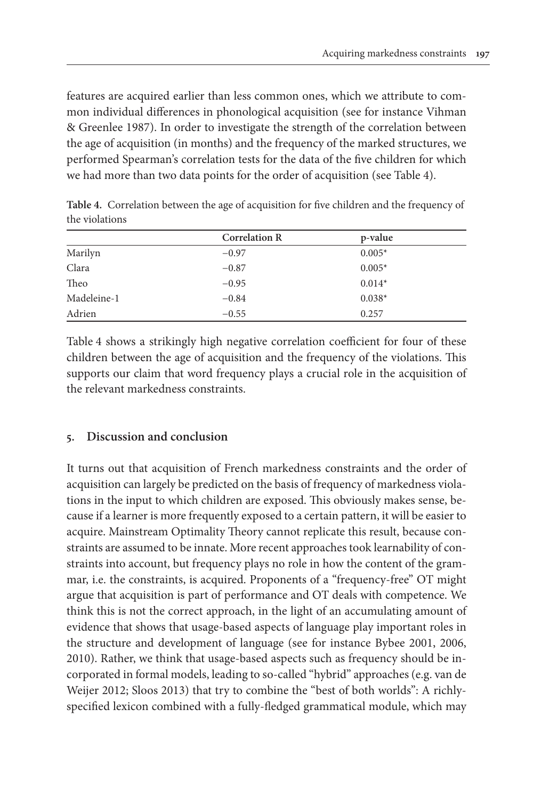features are acquired earlier than less common ones, which we attribute to common individual differences in phonological acquisition (see for instance Vihman & Greenlee 1987). In order to investigate the strength of the correlation between the age of acquisition (in months) and the frequency of the marked structures, we performed Spearman's correlation tests for the data of the five children for which we had more than two data points for the order of acquisition (see Table 4).

|             | <b>Correlation R</b> | p-value  |  |
|-------------|----------------------|----------|--|
| Marilyn     | $-0.97$              | $0.005*$ |  |
| Clara       | $-0.87$              | $0.005*$ |  |
| Theo        | $-0.95$              | $0.014*$ |  |
| Madeleine-1 | $-0.84$              | $0.038*$ |  |
| Adrien      | $-0.55$              | 0.257    |  |

**Table 4.** Correlation between the age of acquisition for five children and the frequency of the violations

Table 4 shows a strikingly high negative correlation coefficient for four of these children between the age of acquisition and the frequency of the violations. This supports our claim that word frequency plays a crucial role in the acquisition of the relevant markedness constraints.

# **5. Discussion and conclusion**

It turns out that acquisition of French markedness constraints and the order of acquisition can largely be predicted on the basis of frequency of markedness violations in the input to which children are exposed. This obviously makes sense, because if a learner is more frequently exposed to a certain pattern, it will be easier to acquire. Mainstream Optimality Theory cannot replicate this result, because constraints are assumed to be innate. More recent approaches took learnability of constraints into account, but frequency plays no role in how the content of the grammar, i.e. the constraints, is acquired. Proponents of a "frequency-free" OT might argue that acquisition is part of performance and OT deals with competence. We think this is not the correct approach, in the light of an accumulating amount of evidence that shows that usage-based aspects of language play important roles in the structure and development of language (see for instance Bybee 2001, 2006, 2010). Rather, we think that usage-based aspects such as frequency should be incorporated in formal models, leading to so-called "hybrid" approaches (e.g. van de Weijer 2012; Sloos 2013) that try to combine the "best of both worlds": A richlyspecified lexicon combined with a fully-fledged grammatical module, which may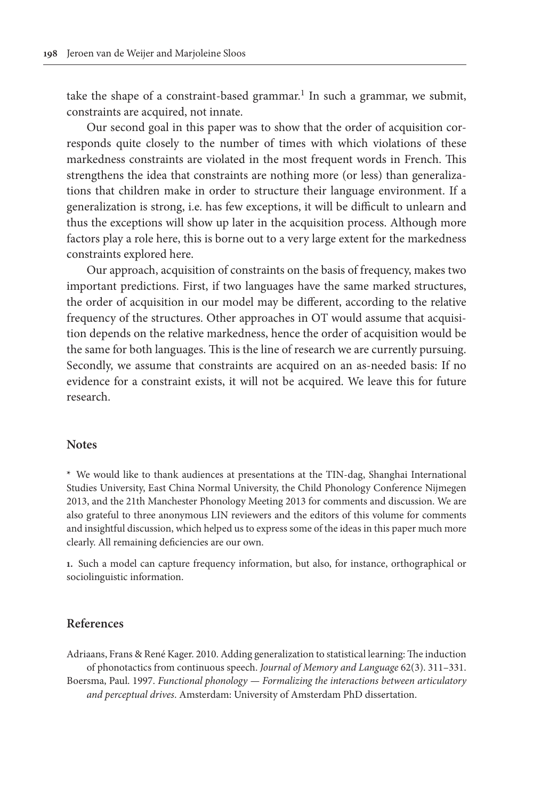take the shape of a constraint-based grammar.<sup>1</sup> In such a grammar, we submit, constraints are acquired, not innate.

Our second goal in this paper was to show that the order of acquisition corresponds quite closely to the number of times with which violations of these markedness constraints are violated in the most frequent words in French. This strengthens the idea that constraints are nothing more (or less) than generalizations that children make in order to structure their language environment. If a generalization is strong, i.e. has few exceptions, it will be difficult to unlearn and thus the exceptions will show up later in the acquisition process. Although more factors play a role here, this is borne out to a very large extent for the markedness constraints explored here.

Our approach, acquisition of constraints on the basis of frequency, makes two important predictions. First, if two languages have the same marked structures, the order of acquisition in our model may be different, according to the relative frequency of the structures. Other approaches in OT would assume that acquisition depends on the relative markedness, hence the order of acquisition would be the same for both languages. This is the line of research we are currently pursuing. Secondly, we assume that constraints are acquired on an as-needed basis: If no evidence for a constraint exists, it will not be acquired. We leave this for future research.

## **Notes**

**\*** We would like to thank audiences at presentations at the TIN-dag, Shanghai International Studies University, East China Normal University, the Child Phonology Conference Nijmegen 2013, and the 21th Manchester Phonology Meeting 2013 for comments and discussion. We are also grateful to three anonymous LIN reviewers and the editors of this volume for comments and insightful discussion, which helped us to express some of the ideas in this paper much more clearly. All remaining deficiencies are our own.

**1.** Such a model can capture frequency information, but also, for instance, orthographical or sociolinguistic information.

## **References**

Adriaans, Frans & René Kager. 2010. Adding generalization to statistical learning: The induction of phonotactics from continuous speech. *Journal of Memory and Language* 62(3). 311–331. Boersma, Paul. 1997. *Functional phonology — Formalizing the interactions between articulatory and perceptual drives*. Amsterdam: University of Amsterdam PhD dissertation.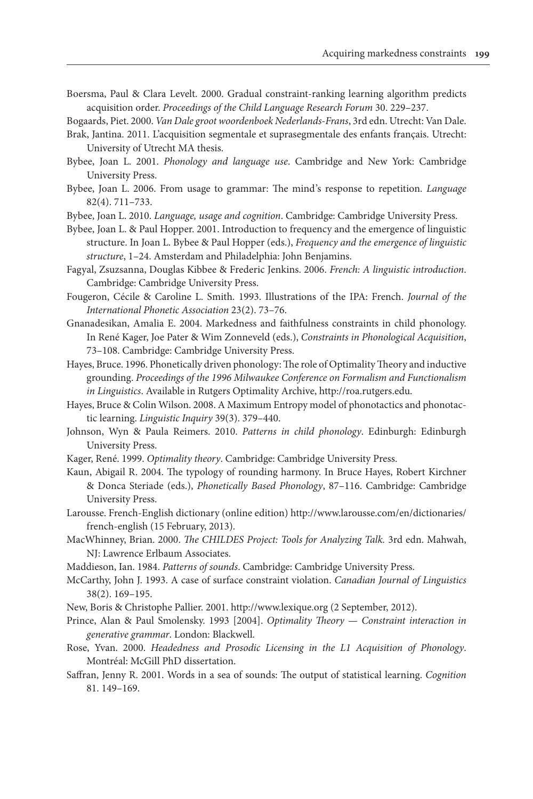- Boersma, Paul & Clara Levelt. 2000. Gradual constraint-ranking learning algorithm predicts acquisition order. *Proceedings of the Child Language Research Forum* 30. 229–237.
- Bogaards, Piet. 2000. *Van Dale groot woordenboek Nederlands-Frans*, 3rd edn. Utrecht: Van Dale.
- Brak, Jantina. 2011. L'acquisition segmentale et suprasegmentale des enfants français. Utrecht: University of Utrecht MA thesis.
- Bybee, Joan L. 2001. *Phonology and language use*. Cambridge and New York: Cambridge University Press.
- Bybee, Joan L. 2006. From usage to grammar: The mind's response to repetition. *Language* 82(4). 711–733.
- Bybee, Joan L. 2010. *Language, usage and cognition*. Cambridge: Cambridge University Press.
- Bybee, Joan L. & Paul Hopper. 2001. Introduction to frequency and the emergence of linguistic structure. In Joan L. Bybee & Paul Hopper (eds.), *Frequency and the emergence of linguistic structure*, 1–24. Amsterdam and Philadelphia: John Benjamins.
- Fagyal, Zsuzsanna, Douglas Kibbee & Frederic Jenkins. 2006. *French: A linguistic introduction*. Cambridge: Cambridge University Press.
- Fougeron, Cécile & Caroline L. Smith. 1993. Illustrations of the IPA: French. *Journal of the International Phonetic Association* 23(2). 73–76.
- Gnanadesikan, Amalia E. 2004. Markedness and faithfulness constraints in child phonology. In René Kager, Joe Pater & Wim Zonneveld (eds.), *Constraints in Phonological Acquisition*, 73–108. Cambridge: Cambridge University Press.
- Hayes, Bruce. 1996. Phonetically driven phonology: The role of Optimality Theory and inductive grounding. *Proceedings of the 1996 Milwaukee Conference on Formalism and Functionalism in Linguistics*. Available in Rutgers Optimality Archive, [http://roa.rutgers.edu.](http://roa.rutgers.edu)
- Hayes, Bruce & Colin Wilson. 2008. A Maximum Entropy model of phonotactics and phonotactic learning. *Linguistic Inquiry* 39(3). 379–440.
- Johnson, Wyn & Paula Reimers. 2010. *Patterns in child phonology*. Edinburgh: Edinburgh University Press.
- Kager, René. 1999. *Optimality theory*. Cambridge: Cambridge University Press.
- Kaun, Abigail R. 2004. The typology of rounding harmony. In Bruce Hayes, Robert Kirchner & Donca Steriade (eds.), *Phonetically Based Phonology*, 87–116. Cambridge: Cambridge University Press.
- Larousse. French-English dictionary (online edition) [http://www.larousse.com/en/dictionaries/](http://www.larousse.com/en/dictionaries/french-english) [french-english](http://www.larousse.com/en/dictionaries/french-english) (15 February, 2013).
- MacWhinney, Brian. 2000. *The CHILDES Project: Tools for Analyzing Talk.* 3rd edn. Mahwah, NJ: Lawrence Erlbaum Associates.
- Maddieson, Ian. 1984. *Patterns of sounds*. Cambridge: Cambridge University Press.
- McCarthy, John J. 1993. A case of surface constraint violation. *Canadian Journal of Linguistics*  38(2). 169–195.
- New, Boris & Christophe Pallier. 2001.<http://www.lexique.org>(2 September, 2012).
- Prince, Alan & Paul Smolensky. 1993 [2004]. *Optimality Theory Constraint interaction in generative grammar*. London: Blackwell.
- Rose, Yvan. 2000. *Headedness and Prosodic Licensing in the L1 Acquisition of Phonology*. Montréal: McGill PhD dissertation.
- Saffran, Jenny R. 2001. Words in a sea of sounds: The output of statistical learning. *Cognition* 81. 149–169.